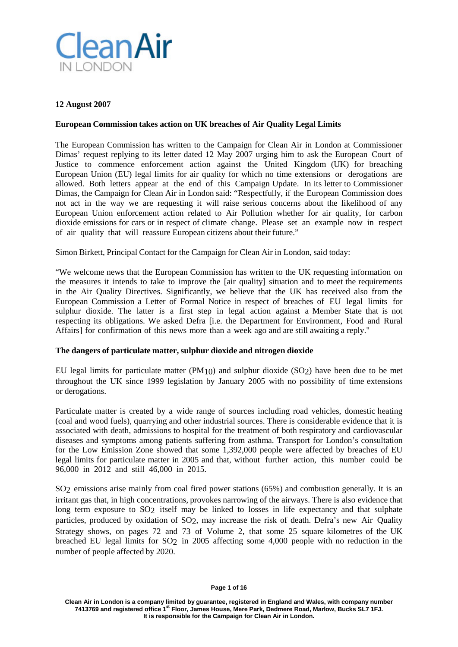

## **12 August 2007**

## **European Commission takes action on UK breaches of Air Quality Legal Limits**

The European Commission has written to the Campaign for Clean Air in London at Commissioner Dimas' request replying to its letter dated 12 May 2007 urging him to ask the European Court of Justice to commence enforcement action against the United Kingdom (UK) for breaching European Union (EU) legal limits for air quality for which no time extensions or derogations are allowed. Both letters appear at the end of this Campaign Update. In its letter to Commissioner Dimas, the Campaign for Clean Air in London said: "Respectfully, if the European Commission does not act in the way we are requesting it will raise serious concerns about the likelihood of any European Union enforcement action related to Air Pollution whether for air quality, for carbon dioxide emissions for cars or in respect of climate change. Please set an example now in respect of air quality that will reassure European citizens about their future."

## Simon Birkett, Principal Contact for the Campaign for Clean Air in London, said today:

"We welcome news that the European Commission has written to the UK requesting information on the measures it intends to take to improve the [air quality] situation and to meet the requirements in the Air Quality Directives. Significantly, we believe that the UK has received also from the European Commission a Letter of Formal Notice in respect of breaches of EU legal limits for sulphur dioxide. The latter is a first step in legal action against a Member State that is not respecting its obligations. We asked Defra [i.e. the Department for Environment, Food and Rural Affairs] for confirmation of this news more than a week ago and are still awaiting a reply."

## **The dangers of particulate matter, sulphur dioxide and nitrogen dioxide**

EU legal limits for particulate matter (PM10) and sulphur dioxide (SO2) have been due to be met throughout the UK since 1999 legislation by January 2005 with no possibility of time extensions or derogations.

Particulate matter is created by a wide range of sources including road vehicles, domestic heating (coal and wood fuels), quarrying and other industrial sources. There is considerable evidence that it is associated with death, admissions to hospital for the treatment of both respiratory and cardiovascular diseases and symptoms among patients suffering from asthma. Transport for London's consultation for the Low Emission Zone showed that some 1,392,000 people were affected by breaches of EU legal limits for particulate matter in 2005 and that, without further action, this number could be 96,000 in 2012 and still 46,000 in 2015.

SO2 emissions arise mainly from coal fired power stations (65%) and combustion generally. It is an irritant gas that, in high concentrations, provokes narrowing of the airways. There is also evidence that long term exposure to SO<sub>2</sub> itself may be linked to losses in life expectancy and that sulphate particles, produced by oxidation of SO2, may increase the risk of death. Defra's new Air Quality Strategy shows, on pages 72 and 73 of Volume 2, that some 25 square kilometres of the UK breached EU legal limits for SO2 in 2005 affecting some 4,000 people with no reduction in the number of people affected by 2020.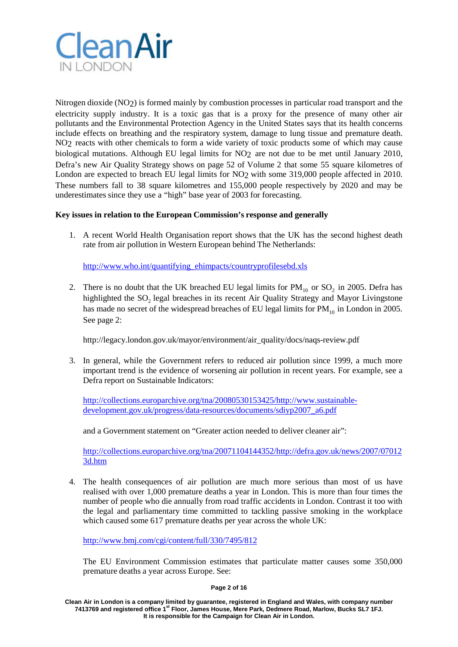

Nitrogen dioxide (NO2) is formed mainly by combustion processes in particular road transport and the electricity supply industry. It is a toxic gas that is a proxy for the presence of many other air pollutants and the Environmental Protection Agency in the United States says that its health concerns include effects on breathing and the respiratory system, damage to lung tissue and premature death. NO2 reacts with other chemicals to form a wide variety of toxic products some of which may cause biological mutations. Although EU legal limits for NO2 are not due to be met until January 2010, Defra's new Air Quality Strategy shows on page 52 of Volume 2 that some 55 square kilometres of London are expected to breach EU legal limits for NO<sub>2</sub> with some 319,000 people affected in 2010. These numbers fall to 38 square kilometres and 155,000 people respectively by 2020 and may be underestimates since they use a "high" base year of 2003 for forecasting.

## **Key issues in relation to the European Commission's response and generally**

1. A recent World Health Organisation report shows that the UK has the second highest death rate from air pollution in Western European behind The Netherlands:

[http://www.who.int/quantifying\\_ehimpacts/countryprofilesebd.xls](http://www.who.int/quantifying_ehimpacts/countryprofilesebd.xls)

2. There is no doubt that the UK breached EU legal limits for  $PM_{10}$  or SO<sub>2</sub> in 2005. Defra has highlighted the SO<sub>2</sub> legal breaches in its recent Air Quality Strategy and Mayor Livingstone has made no secret of the widespread breaches of EU legal limits for  $PM_{10}$  in London in 2005. See page 2:

http://legacy.london.gov.uk/mayor/environment/air\_quality/docs/naqs-review.pdf

3. In general, while the Government refers to reduced air pollution since 1999, a much more important trend is the evidence of worsening air pollution in recent years. For example, see a Defra report on Sustainable Indicators:

[http://collections.europarchive.org/tna/20080530153425/http://www.sustainable](http://collections.europarchive.org/tna/20080530153425/http:/www.sustainable-development.gov.uk/progress/data-resources/documents/sdiyp2007_a6.pdf)[development.gov.uk/progress/data-resources/documents/sdiyp2007\\_a6.pdf](http://collections.europarchive.org/tna/20080530153425/http:/www.sustainable-development.gov.uk/progress/data-resources/documents/sdiyp2007_a6.pdf)

and a Government statement on "Greater action needed to deliver cleaner air":

[http://collections.europarchive.org/tna/20071104144352/http://defra.gov.uk/news/2007/07012](http://collections.europarchive.org/tna/20071104144352/http:/defra.gov.uk/news/2007/070123d.htm) [3d.htm](http://collections.europarchive.org/tna/20071104144352/http:/defra.gov.uk/news/2007/070123d.htm)

4. The health consequences of air pollution are much more serious than most of us have realised with over 1,000 premature deaths a year in London. This is more than four times the number of people who die annually from road traffic accidents in London. Contrast it too with the legal and parliamentary time committed to tackling passive smoking in the workplace which caused some 617 premature deaths per year across the whole UK:

<http://www.bmj.com/cgi/content/full/330/7495/812>

The EU Environment Commission estimates that particulate matter causes some 350,000 premature deaths a year across Europe. See:

### **Page 2 of 16**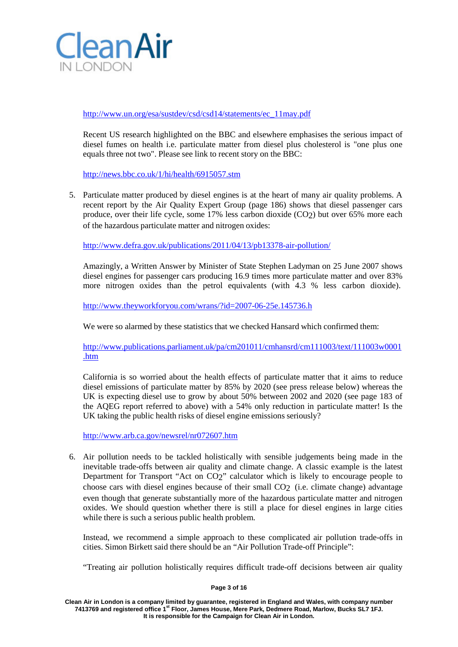

[http://www.un.org/esa/sustdev/csd/csd14/statements/ec\\_11may.pdf](http://www.un.org/esa/sustdev/csd/csd14/statements/ec_11may.pdf)

Recent US research highlighted on the BBC and elsewhere emphasises the serious impact of diesel fumes on health i.e. particulate matter from diesel plus cholesterol is "one plus one equals three not two". Please see link to recent story on the BBC:

<http://news.bbc.co.uk/1/hi/health/6915057.stm>

5. Particulate matter produced by diesel engines is at the heart of many air quality problems. A recent report by the Air Quality Expert Group (page 186) shows that diesel passenger cars produce, over their life cycle, some 17% less carbon dioxide (CO2) but over 65% more each of the hazardous particulate matter and nitrogen oxides:

<http://www.defra.gov.uk/publications/2011/04/13/pb13378-air-pollution/>

Amazingly, a Written Answer by Minister of State Stephen Ladyman on 25 June 2007 shows diesel engines for passenger cars producing 16.9 times more particulate matter and over 83% more nitrogen oxides than the petrol equivalents (with 4.3 % less carbon dioxide).

<http://www.theyworkforyou.com/wrans/?id=2007-06-25e.145736.h>

We were so alarmed by these statistics that we checked Hansard which confirmed them:

[http://www.publications.parliament.uk/pa/cm201011/cmhansrd/cm111003/text/111003w0001](http://www.publications.parliament.uk/pa/cm201011/cmhansrd/cm111003/text/111003w0001.htm) [.htm](http://www.publications.parliament.uk/pa/cm201011/cmhansrd/cm111003/text/111003w0001.htm)

California is so worried about the health effects of particulate matter that it aims to reduce diesel emissions of particulate matter by 85% by 2020 (see press release below) whereas the UK is expecting diesel use to grow by about 50% between 2002 and 2020 (see page 183 of the AQEG report referred to above) with a 54% only reduction in particulate matter! Is the UK taking the public health risks of diesel engine emissions seriously?

<http://www.arb.ca.gov/newsrel/nr072607.htm>

6. Air pollution needs to be tackled holistically with sensible judgements being made in the inevitable trade-offs between air quality and climate change. A classic example is the latest Department for Transport "Act on CO2" calculator which is likely to encourage people to choose cars with diesel engines because of their small CO2 (i.e. climate change) advantage even though that generate substantially more of the hazardous particulate matter and nitrogen oxides. We should question whether there is still a place for diesel engines in large cities while there is such a serious public health problem.

Instead, we recommend a simple approach to these complicated air pollution trade-offs in cities. Simon Birkett said there should be an "Air Pollution Trade-off Principle":

"Treating air pollution holistically requires difficult trade-off decisions between air quality

### **Page 3 of 16**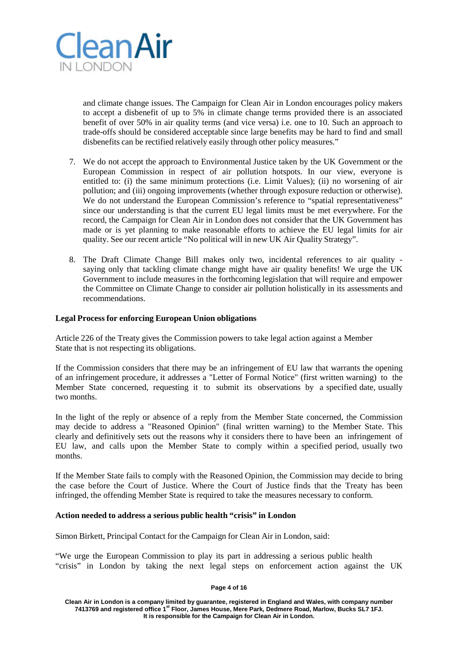

and climate change issues. The Campaign for Clean Air in London encourages policy makers to accept a disbenefit of up to 5% in climate change terms provided there is an associated benefit of over 50% in air quality terms (and vice versa) i.e. one to 10. Such an approach to trade-offs should be considered acceptable since large benefits may be hard to find and small disbenefits can be rectified relatively easily through other policy measures."

- 7. We do not accept the approach to Environmental Justice taken by the UK Government or the European Commission in respect of air pollution hotspots. In our view, everyone is entitled to: (i) the same minimum protections (i.e. Limit Values); (ii) no worsening of air pollution; and (iii) ongoing improvements (whether through exposure reduction or otherwise). We do not understand the European Commission's reference to "spatial representativeness" since our understanding is that the current EU legal limits must be met everywhere. For the record, the Campaign for Clean Air in London does not consider that the UK Government has made or is yet planning to make reasonable efforts to achieve the EU legal limits for air quality. See our recent article "No political will in new UK Air Quality Strategy".
- 8. The Draft Climate Change Bill makes only two, incidental references to air quality saying only that tackling climate change might have air quality benefits! We urge the UK Government to include measures in the forthcoming legislation that will require and empower the Committee on Climate Change to consider air pollution holistically in its assessments and recommendations.

### **Legal Process for enforcing European Union obligations**

Article 226 of the Treaty gives the Commission powers to take legal action against a Member State that is not respecting its obligations.

If the Commission considers that there may be an infringement of EU law that warrants the opening of an infringement procedure, it addresses a "Letter of Formal Notice" (first written warning) to the Member State concerned, requesting it to submit its observations by a specified date, usually two months.

In the light of the reply or absence of a reply from the Member State concerned, the Commission may decide to address a "Reasoned Opinion" (final written warning) to the Member State. This clearly and definitively sets out the reasons why it considers there to have been an infringement of EU law, and calls upon the Member State to comply within a specified period, usually two months.

If the Member State fails to comply with the Reasoned Opinion, the Commission may decide to bring the case before the Court of Justice. Where the Court of Justice finds that the Treaty has been infringed, the offending Member State is required to take the measures necessary to conform.

### **Action needed to address a serious public health "crisis" in London**

Simon Birkett, Principal Contact for the Campaign for Clean Air in London, said:

"We urge the European Commission to play its part in addressing a serious public health "crisis" in London by taking the next legal steps on enforcement action against the UK

#### **Page 4 of 16**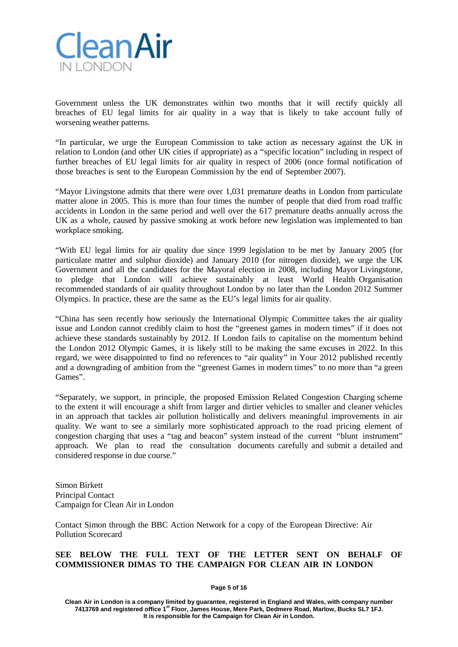

Government unless the UK demonstrates within two months that it will rectify quickly all breaches of EU legal limits for air quality in a way that is likely to take account fully of worsening weather patterns.

"In particular, we urge the European Commission to take action as necessary against the UK in relation to London (and other UK cities if appropriate) as a "specific location" including in respect of further breaches of EU legal limits for air quality in respect of 2006 (once formal notification of those breaches is sent to the European Commission by the end of September 2007).

"Mayor Livingstone admits that there were over 1,031 premature deaths in London from particulate matter alone in 2005. This is more than four times the number of people that died from road traffic accidents in London in the same period and well over the 617 premature deaths annually across the UK as a whole, caused by passive smoking at work before new legislation was implemented to ban workplace smoking.

"With EU legal limits for air quality due since 1999 legislation to be met by January 2005 (for particulate matter and sulphur dioxide) and January 2010 (for nitrogen dioxide), we urge the UK Government and all the candidates for the Mayoral election in 2008, including Mayor Livingstone, to pledge that London will achieve sustainably at least World Health Organisation recommended standards of air quality throughout London by no later than the London 2012 Summer Olympics. In practice, these are the same as the EU's legal limits for air quality.

"China has seen recently how seriously the International Olympic Committee takes the air quality issue and London cannot credibly claim to host the "greenest games in modern times" if it does not achieve these standards sustainably by 2012. If London fails to capitalise on the momentum behind the London 2012 Olympic Games, it is likely still to be making the same excuses in 2022. In this regard, we were disappointed to find no references to "air quality" in Your 2012 published recently and a downgrading of ambition from the "greenest Games in modern times" to no more than "a green Games".

"Separately, we support, in principle, the proposed Emission Related Congestion Charging scheme to the extent it will encourage a shift from larger and dirtier vehicles to smaller and cleaner vehicles in an approach that tackles air pollution holistically and delivers meaningful improvements in air quality. We want to see a similarly more sophisticated approach to the road pricing element of congestion charging that uses a "tag and beacon" system instead of the current "blunt instrument" approach. We plan to read the consultation documents carefully and submit a detailed and considered response in due course."

Simon Birkett Principal Contact Campaign for Clean Air in London

Contact Simon through the BBC Action Network for a copy of the European Directive: Air Pollution Scorecard

## **SEE BELOW THE FULL TEXT OF THE LETTER SENT ON BEHALF OF COMMISSIONER DIMAS TO THE CAMPAIGN FOR CLEAN AIR IN LONDON**

**Page 5 of 16**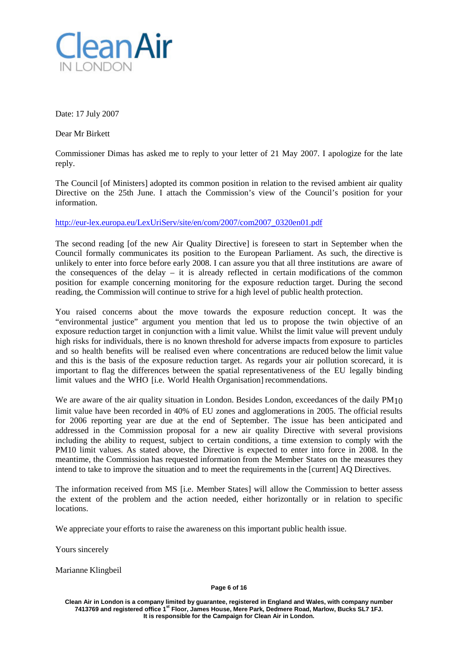

Date: 17 July 2007

Dear Mr Birkett

Commissioner Dimas has asked me to reply to your letter of 21 May 2007. I apologize for the late reply.

The Council [of Ministers] adopted its common position in relation to the revised ambient air quality Directive on the 25th June. I attach the Commission's view of the Council's position for your information.

[http://eur-lex.europa.eu/LexUriServ/site/en/com/2007/com2007\\_0320en01.pdf](http://eur-lex.europa.eu/LexUriServ/site/en/com/2007/com2007_0320en01.pdf)

The second reading [of the new Air Quality Directive] is foreseen to start in September when the Council formally communicates its position to the European Parliament. As such, the directive is unlikely to enter into force before early 2008. I can assure you that all three institutions are aware of the consequences of the delay – it is already reflected in certain modifications of the common position for example concerning monitoring for the exposure reduction target. During the second reading, the Commission will continue to strive for a high level of public health protection.

You raised concerns about the move towards the exposure reduction concept. It was the "environmental justice" argument you mention that led us to propose the twin objective of an exposure reduction target in conjunction with a limit value. Whilst the limit value will prevent unduly high risks for individuals, there is no known threshold for adverse impacts from exposure to particles and so health benefits will be realised even where concentrations are reduced below the limit value and this is the basis of the exposure reduction target. As regards your air pollution scorecard, it is important to flag the differences between the spatial representativeness of the EU legally binding limit values and the WHO [i.e. World Health Organisation] recommendations.

We are aware of the air quality situation in London. Besides London, exceedances of the daily PM<sub>10</sub> limit value have been recorded in 40% of EU zones and agglomerations in 2005. The official results for 2006 reporting year are due at the end of September. The issue has been anticipated and addressed in the Commission proposal for a new air quality Directive with several provisions including the ability to request, subject to certain conditions, a time extension to comply with the PM10 limit values. As stated above, the Directive is expected to enter into force in 2008. In the meantime, the Commission has requested information from the Member States on the measures they intend to take to improve the situation and to meet the requirements in the [current] AQ Directives.

The information received from MS [i.e. Member States] will allow the Commission to better assess the extent of the problem and the action needed, either horizontally or in relation to specific locations.

We appreciate your efforts to raise the awareness on this important public health issue.

Yours sincerely

Marianne Klingbeil

**Page 6 of 16**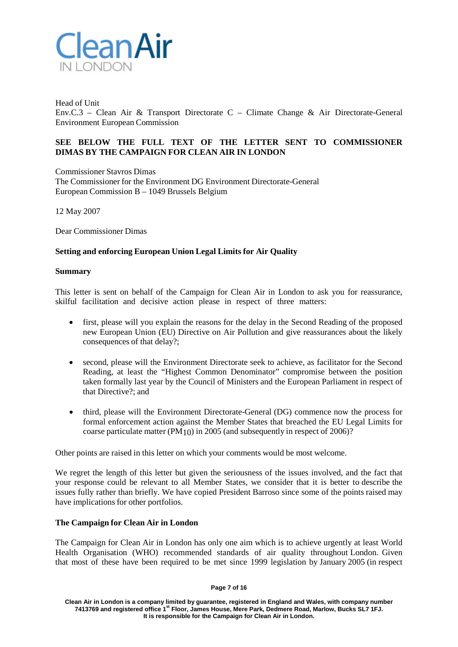

Head of Unit Env.C.3 – Clean Air & Transport Directorate C – Climate Change & Air Directorate-General Environment European Commission

## **SEE BELOW THE FULL TEXT OF THE LETTER SENT TO COMMISSIONER DIMAS BY THE CAMPAIGN FOR CLEAN AIR IN LONDON**

Commissioner Stavros Dimas The Commissioner for the Environment DG Environment Directorate-General European Commission B – 1049 Brussels Belgium

12 May 2007

Dear Commissioner Dimas

## **Setting and enforcing European Union Legal Limits for Air Quality**

### **Summary**

This letter is sent on behalf of the Campaign for Clean Air in London to ask you for reassurance, skilful facilitation and decisive action please in respect of three matters:

- first, please will you explain the reasons for the delay in the Second Reading of the proposed new European Union (EU) Directive on Air Pollution and give reassurances about the likely consequences of that delay?;
- second, please will the Environment Directorate seek to achieve, as facilitator for the Second Reading, at least the "Highest Common Denominator" compromise between the position taken formally last year by the Council of Ministers and the European Parliament in respect of that Directive?; and
- third, please will the Environment Directorate-General (DG) commence now the process for formal enforcement action against the Member States that breached the EU Legal Limits for coarse particulate matter (PM10) in 2005 (and subsequently in respect of 2006)?

Other points are raised in this letter on which your comments would be most welcome.

We regret the length of this letter but given the seriousness of the issues involved, and the fact that your response could be relevant to all Member States, we consider that it is better to describe the issues fully rather than briefly. We have copied President Barroso since some of the points raised may have implications for other portfolios.

## **The Campaign for Clean Air in London**

The Campaign for Clean Air in London has only one aim which is to achieve urgently at least World Health Organisation (WHO) recommended standards of air quality throughout London. Given that most of these have been required to be met since 1999 legislation by January 2005 (in respect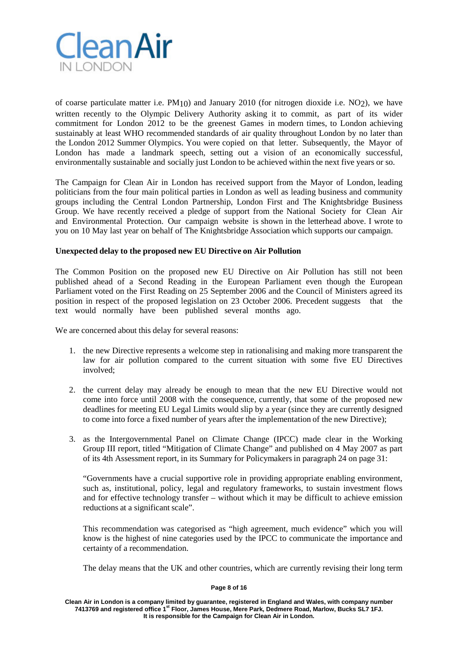

of coarse particulate matter i.e.  $PM_{10}$ ) and January 2010 (for nitrogen dioxide i.e. NO<sub>2</sub>), we have written recently to the Olympic Delivery Authority asking it to commit, as part of its wider commitment for London 2012 to be the greenest Games in modern times, to London achieving sustainably at least WHO recommended standards of air quality throughout London by no later than the London 2012 Summer Olympics. You were copied on that letter. Subsequently, the Mayor of London has made a landmark speech, setting out a vision of an economically successful, environmentally sustainable and socially just London to be achieved within the next five years or so.

The Campaign for Clean Air in London has received support from the Mayor of London, leading politicians from the four main political parties in London as well as leading business and community groups including the Central London Partnership, London First and The Knightsbridge Business Group. We have recently received a pledge of support from the National Society for Clean Air and Environmental Protection. Our campaign website is shown in the letterhead above. I wrote to you on 10 May last year on behalf of The Knightsbridge Association which supports our campaign.

## **Unexpected delay to the proposed new EU Directive on Air Pollution**

The Common Position on the proposed new EU Directive on Air Pollution has still not been published ahead of a Second Reading in the European Parliament even though the European Parliament voted on the First Reading on 25 September 2006 and the Council of Ministers agreed its position in respect of the proposed legislation on 23 October 2006. Precedent suggests that the text would normally have been published several months ago.

We are concerned about this delay for several reasons:

- 1. the new Directive represents a welcome step in rationalising and making more transparent the law for air pollution compared to the current situation with some five EU Directives involved;
- 2. the current delay may already be enough to mean that the new EU Directive would not come into force until 2008 with the consequence, currently, that some of the proposed new deadlines for meeting EU Legal Limits would slip by a year (since they are currently designed to come into force a fixed number of years after the implementation of the new Directive);
- 3. as the Intergovernmental Panel on Climate Change (IPCC) made clear in the Working Group III report, titled "Mitigation of Climate Change" and published on 4 May 2007 as part of its 4th Assessment report, in its Summary for Policymakers in paragraph 24 on page 31:

"Governments have a crucial supportive role in providing appropriate enabling environment, such as, institutional, policy, legal and regulatory frameworks, to sustain investment flows and for effective technology transfer – without which it may be difficult to achieve emission reductions at a significant scale".

This recommendation was categorised as "high agreement, much evidence" which you will know is the highest of nine categories used by the IPCC to communicate the importance and certainty of a recommendation.

The delay means that the UK and other countries, which are currently revising their long term

### **Page 8 of 16**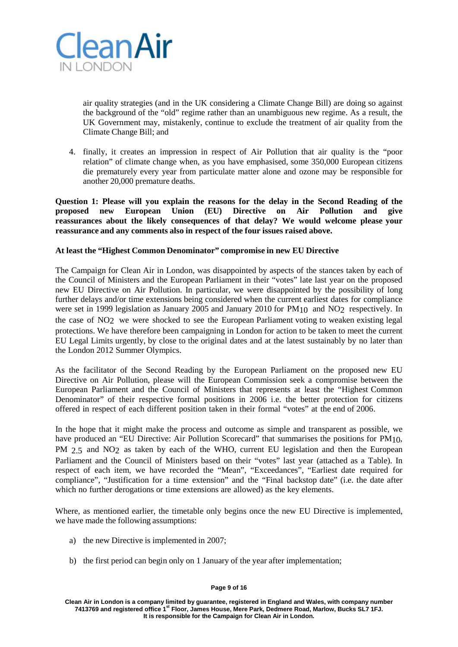

air quality strategies (and in the UK considering a Climate Change Bill) are doing so against the background of the "old" regime rather than an unambiguous new regime. As a result, the UK Government may, mistakenly, continue to exclude the treatment of air quality from the Climate Change Bill; and

4. finally, it creates an impression in respect of Air Pollution that air quality is the "poor relation" of climate change when, as you have emphasised, some 350,000 European citizens die prematurely every year from particulate matter alone and ozone may be responsible for another 20,000 premature deaths.

**Question 1: Please will you explain the reasons for the delay in the Second Reading of the proposed new European Union (EU) Directive on Air Pollution and give reassurances about the likely consequences of that delay? We would welcome please your reassurance and any comments also in respect of the four issues raised above.**

## **At least the "Highest Common Denominator" compromise in new EU Directive**

The Campaign for Clean Air in London, was disappointed by aspects of the stances taken by each of the Council of Ministers and the European Parliament in their "votes" late last year on the proposed new EU Directive on Air Pollution. In particular, we were disappointed by the possibility of long further delays and/or time extensions being considered when the current earliest dates for compliance were set in 1999 legislation as January 2005 and January 2010 for PM10 and NO<sub>2</sub> respectively. In the case of NO2 we were shocked to see the European Parliament voting to weaken existing legal protections. We have therefore been campaigning in London for action to be taken to meet the current EU Legal Limits urgently, by close to the original dates and at the latest sustainably by no later than the London 2012 Summer Olympics.

As the facilitator of the Second Reading by the European Parliament on the proposed new EU Directive on Air Pollution, please will the European Commission seek a compromise between the European Parliament and the Council of Ministers that represents at least the "Highest Common Denominator" of their respective formal positions in 2006 i.e. the better protection for citizens offered in respect of each different position taken in their formal "votes" at the end of 2006.

In the hope that it might make the process and outcome as simple and transparent as possible, we have produced an "EU Directive: Air Pollution Scorecard" that summarises the positions for PM<sub>10</sub>, PM 2.5 and NO<sub>2</sub> as taken by each of the WHO, current EU legislation and then the European Parliament and the Council of Ministers based on their "votes" last year (attached as a Table). In respect of each item, we have recorded the "Mean", "Exceedances", "Earliest date required for compliance", "Justification for a time extension" and the "Final backstop date" (i.e. the date after which no further derogations or time extensions are allowed) as the key elements.

Where, as mentioned earlier, the timetable only begins once the new EU Directive is implemented, we have made the following assumptions:

- a) the new Directive is implemented in 2007;
- b) the first period can begin only on 1 January of the year after implementation;

### **Page 9 of 16**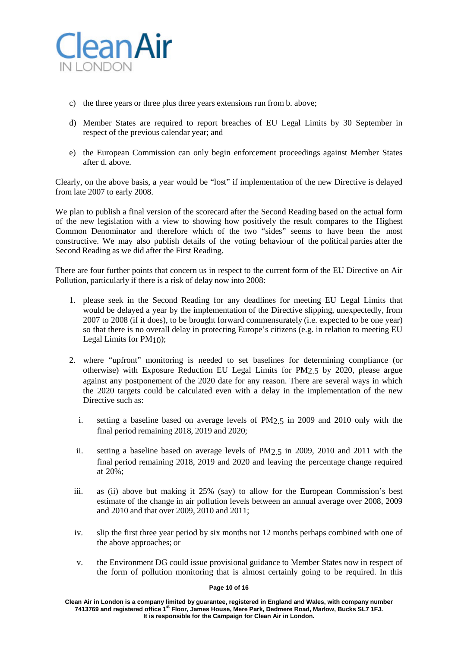

- c) the three years or three plus three years extensions run from b. above;
- d) Member States are required to report breaches of EU Legal Limits by 30 September in respect of the previous calendar year; and
- e) the European Commission can only begin enforcement proceedings against Member States after d. above.

Clearly, on the above basis, a year would be "lost" if implementation of the new Directive is delayed from late 2007 to early 2008.

We plan to publish a final version of the scorecard after the Second Reading based on the actual form of the new legislation with a view to showing how positively the result compares to the Highest Common Denominator and therefore which of the two "sides" seems to have been the most constructive. We may also publish details of the voting behaviour of the political parties after the Second Reading as we did after the First Reading.

There are four further points that concern us in respect to the current form of the EU Directive on Air Pollution, particularly if there is a risk of delay now into 2008:

- 1. please seek in the Second Reading for any deadlines for meeting EU Legal Limits that would be delayed a year by the implementation of the Directive slipping, unexpectedly, from 2007 to 2008 (if it does), to be brought forward commensurately (i.e. expected to be one year) so that there is no overall delay in protecting Europe's citizens (e.g. in relation to meeting EU Legal Limits for PM10);
- 2. where "upfront" monitoring is needed to set baselines for determining compliance (or otherwise) with Exposure Reduction EU Legal Limits for PM2.5 by 2020, please argue against any postponement of the 2020 date for any reason. There are several ways in which the 2020 targets could be calculated even with a delay in the implementation of the new Directive such as:
	- i. setting a baseline based on average levels of PM2.5 in 2009 and 2010 only with the final period remaining 2018, 2019 and 2020;
	- ii. setting a baseline based on average levels of PM2.5 in 2009, 2010 and 2011 with the final period remaining 2018, 2019 and 2020 and leaving the percentage change required at 20%;
- iii. as (ii) above but making it 25% (say) to allow for the European Commission's best estimate of the change in air pollution levels between an annual average over 2008, 2009 and 2010 and that over 2009, 2010 and 2011;
- iv. slip the first three year period by six months not 12 months perhaps combined with one of the above approaches; or
- v. the Environment DG could issue provisional guidance to Member States now in respect of the form of pollution monitoring that is almost certainly going to be required. In this

### **Page 10 of 16**

**Clean Air in London is a company limited by guarantee, registered in England and Wales, with company number 7413769 and registered office 1st Floor, James House, Mere Park, Dedmere Road, Marlow, Bucks SL7 1FJ. It is responsible for the Campaign for Clean Air in London.**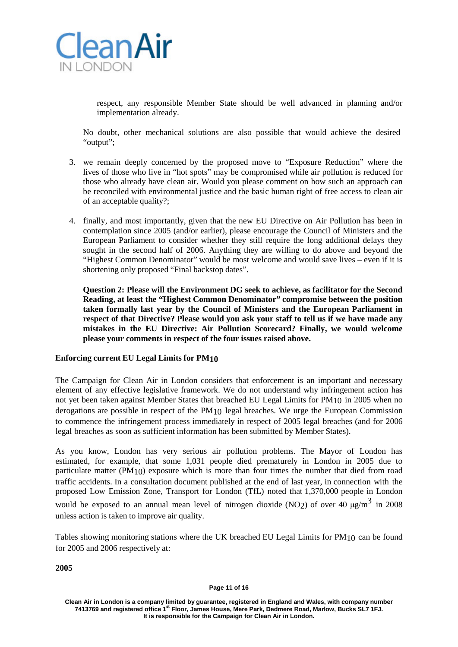

respect, any responsible Member State should be well advanced in planning and/or implementation already.

No doubt, other mechanical solutions are also possible that would achieve the desired "output";

- 3. we remain deeply concerned by the proposed move to "Exposure Reduction" where the lives of those who live in "hot spots" may be compromised while air pollution is reduced for those who already have clean air. Would you please comment on how such an approach can be reconciled with environmental justice and the basic human right of free access to clean air of an acceptable quality?;
- 4. finally, and most importantly, given that the new EU Directive on Air Pollution has been in contemplation since 2005 (and/or earlier), please encourage the Council of Ministers and the European Parliament to consider whether they still require the long additional delays they sought in the second half of 2006. Anything they are willing to do above and beyond the "Highest Common Denominator" would be most welcome and would save lives – even if it is shortening only proposed "Final backstop dates".

**Question 2: Please will the Environment DG seek to achieve, as facilitator for the Second Reading, at least the "Highest Common Denominator" compromise between the position taken formally last year by the Council of Ministers and the European Parliament in respect of that Directive? Please would you ask your staff to tell us if we have made any mistakes in the EU Directive: Air Pollution Scorecard? Finally, we would welcome please your comments in respect of the four issues raised above.**

## **Enforcing current EU Legal Limits for PM10**

The Campaign for Clean Air in London considers that enforcement is an important and necessary element of any effective legislative framework. We do not understand why infringement action has not yet been taken against Member States that breached EU Legal Limits for PM10 in 2005 when no derogations are possible in respect of the PM10 legal breaches. We urge the European Commission to commence the infringement process immediately in respect of 2005 legal breaches (and for 2006 legal breaches as soon as sufficient information has been submitted by Member States).

As you know, London has very serious air pollution problems. The Mayor of London has estimated, for example, that some 1,031 people died prematurely in London in 2005 due to particulate matter (PM10) exposure which is more than four times the number that died from road traffic accidents. In a consultation document published at the end of last year, in connection with the proposed Low Emission Zone, Transport for London (TfL) noted that 1,370,000 people in London would be exposed to an annual mean level of nitrogen dioxide (NO2) of over 40  $\mu$ g/m<sup>3</sup> in 2008 unless action is taken to improve air quality.

Tables showing monitoring stations where the UK breached EU Legal Limits for PM10 can be found for 2005 and 2006 respectively at:

**2005**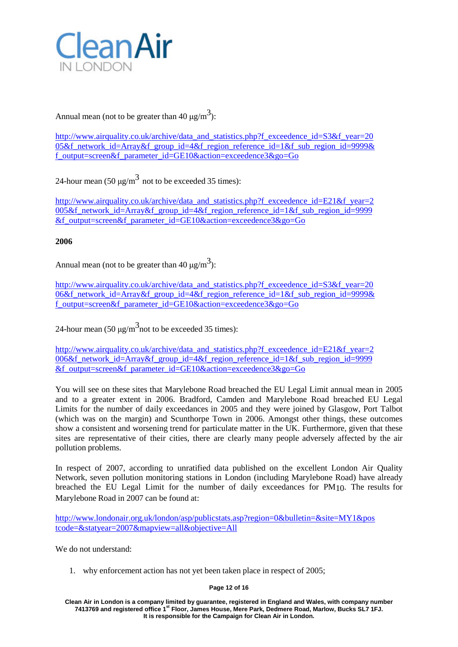

Annual mean (not to be greater than 40  $\mu$ g/m<sup>3</sup>):

[http://www.airquality.co.uk/archive/data\\_and\\_statistics.php?f\\_exceedence\\_id=S3&f\\_year=20](http://www.airquality.co.uk/archive/data_and_statistics.php?f_exceedence_id=S3&f_year=20) 05&f\_network\_id=Array&f\_group\_id=4&f\_region\_reference\_id=1&f\_sub\_region\_id=9999& f\_output=screen&f\_parameter\_id=GE10&action=exceedence3&go=Go

24-hour mean  $(50 \mu g/m^3)$  not to be exceeded 35 times):

[http://www.airquality.co.uk/archive/data\\_and\\_statistics.php?f\\_exceedence\\_id=E21&f\\_year=2](http://www.airquality.co.uk/archive/data_and_statistics.php?f_exceedence_id=E21&f_year=2) 005&f\_network\_id=Array&f\_group\_id=4&f\_region\_reference\_id=1&f\_sub\_region\_id=9999 &f\_output=screen&f\_parameter\_id=GE10&action=exceedence3&go=Go

# **2006**

Annual mean (not to be greater than 40  $\mu$ g/m<sup>3</sup>):

[http://www.airquality.co.uk/archive/data\\_and\\_statistics.php?f\\_exceedence\\_id=S3&f\\_year=20](http://www.airquality.co.uk/archive/data_and_statistics.php?f_exceedence_id=S3&f_year=20) 06&f\_network\_id=Array&f\_group\_id=4&f\_region\_reference\_id=1&f\_sub\_region\_id=9999& f\_output=screen&f\_parameter\_id=GE10&action=exceedence3&go=Go

24-hour mean (50  $\mu$ g/m<sup>3</sup> not to be exceeded 35 times):

[http://www.airquality.co.uk/archive/data\\_and\\_statistics.php?f\\_exceedence\\_id=E21&f\\_year=2](http://www.airquality.co.uk/archive/data_and_statistics.php?f_exceedence_id=E21&f_year=2) 006&f\_network\_id=Array&f\_group\_id=4&f\_region\_reference\_id=1&f\_sub\_region\_id=9999 &f\_output=screen&f\_parameter\_id=GE10&action=exceedence3&go=Go

You will see on these sites that Marylebone Road breached the EU Legal Limit annual mean in 2005 and to a greater extent in 2006. Bradford, Camden and Marylebone Road breached EU Legal Limits for the number of daily exceedances in 2005 and they were joined by Glasgow, Port Talbot (which was on the margin) and Scunthorpe Town in 2006. Amongst other things, these outcomes show a consistent and worsening trend for particulate matter in the UK. Furthermore, given that these sites are representative of their cities, there are clearly many people adversely affected by the air pollution problems.

In respect of 2007, according to unratified data published on the excellent London Air Quality Network, seven pollution monitoring stations in London (including Marylebone Road) have already breached the EU Legal Limit for the number of daily exceedances for PM10. The results for Marylebone Road in 2007 can be found at:

[http://www.londonair.org.uk/london/asp/publicstats.asp?region=0&bulletin=&site=MY1&pos](http://www.londonair.org.uk/london/asp/publicstats.asp?region=0&bulletin&site=MY1&pos) tcode=&statyear=2007&mapview=all&objective=All

We do not understand:

1. why enforcement action has not yet been taken place in respect of 2005;

## **Page 12 of 16**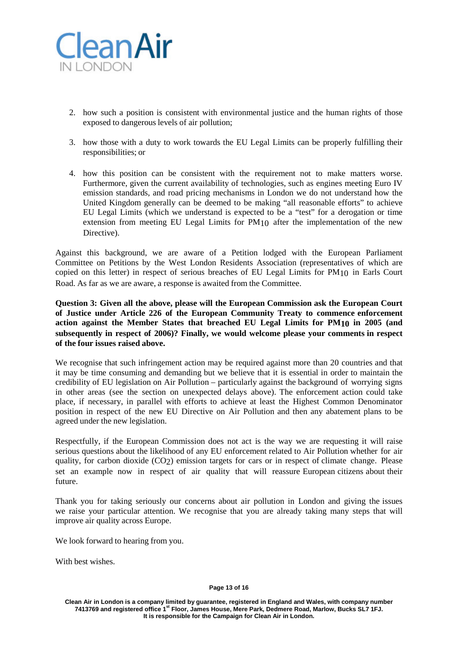

- 2. how such a position is consistent with environmental justice and the human rights of those exposed to dangerous levels of air pollution;
- 3. how those with a duty to work towards the EU Legal Limits can be properly fulfilling their responsibilities; or
- 4. how this position can be consistent with the requirement not to make matters worse. Furthermore, given the current availability of technologies, such as engines meeting Euro IV emission standards, and road pricing mechanisms in London we do not understand how the United Kingdom generally can be deemed to be making "all reasonable efforts" to achieve EU Legal Limits (which we understand is expected to be a "test" for a derogation or time extension from meeting EU Legal Limits for PM10 after the implementation of the new Directive).

Against this background, we are aware of a Petition lodged with the European Parliament Committee on Petitions by the West London Residents Association (representatives of which are copied on this letter) in respect of serious breaches of EU Legal Limits for PM10 in Earls Court Road. As far as we are aware, a response is awaited from the Committee.

**Question 3: Given all the above, please will the European Commission ask the European Court of Justice under Article 226 of the European Community Treaty to commence enforcement action against the Member States that breached EU Legal Limits for PM10 in 2005 (and subsequently in respect of 2006)? Finally, we would welcome please your comments in respect of the four issues raised above.**

We recognise that such infringement action may be required against more than 20 countries and that it may be time consuming and demanding but we believe that it is essential in order to maintain the credibility of EU legislation on Air Pollution – particularly against the background of worrying signs in other areas (see the section on unexpected delays above). The enforcement action could take place, if necessary, in parallel with efforts to achieve at least the Highest Common Denominator position in respect of the new EU Directive on Air Pollution and then any abatement plans to be agreed under the new legislation.

Respectfully, if the European Commission does not act is the way we are requesting it will raise serious questions about the likelihood of any EU enforcement related to Air Pollution whether for air quality, for carbon dioxide (CO<sub>2</sub>) emission targets for cars or in respect of climate change. Please set an example now in respect of air quality that will reassure European citizens about their future.

Thank you for taking seriously our concerns about air pollution in London and giving the issues we raise your particular attention. We recognise that you are already taking many steps that will improve air quality across Europe.

We look forward to hearing from you.

With best wishes.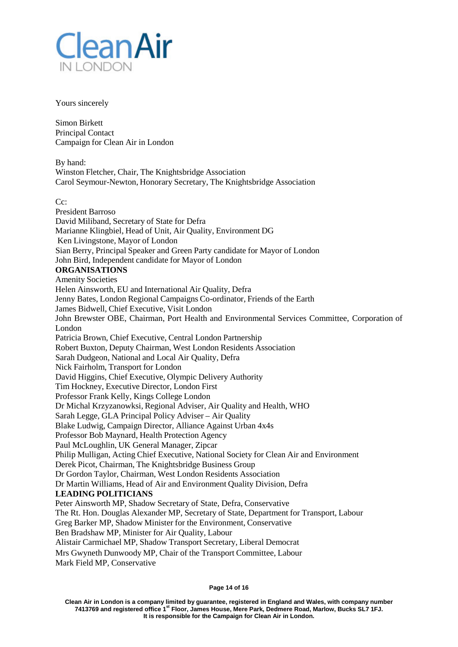

### Yours sincerely

Simon Birkett Principal Contact Campaign for Clean Air in London

By hand: Winston Fletcher, Chair, The Knightsbridge Association Carol Seymour-Newton, Honorary Secretary, The Knightsbridge Association

 $C_{\mathcal{C}}$ 

President Barroso David Miliband, Secretary of State for Defra Marianne Klingbiel, Head of Unit, Air Quality, Environment DG Ken Livingstone, Mayor of London Sian Berry, Principal Speaker and Green Party candidate for Mayor of London John Bird, Independent candidate for Mayor of London **ORGANISATIONS** Amenity Societies Helen Ainsworth, EU and International Air Quality, Defra Jenny Bates, London Regional Campaigns Co-ordinator, Friends of the Earth James Bidwell, Chief Executive, Visit London John Brewster OBE, Chairman, Port Health and Environmental Services Committee, Corporation of London Patricia Brown, Chief Executive, Central London Partnership Robert Buxton, Deputy Chairman, West London Residents Association Sarah Dudgeon, National and Local Air Quality, Defra Nick Fairholm, Transport for London David Higgins, Chief Executive, Olympic Delivery Authority Tim Hockney, Executive Director, London First Professor Frank Kelly, Kings College London Dr Michal Krzyzanowksi, Regional Adviser, Air Quality and Health, WHO Sarah Legge, GLA Principal Policy Adviser – Air Quality Blake Ludwig, Campaign Director, Alliance Against Urban 4x4s Professor Bob Maynard, Health Protection Agency Paul McLoughlin, UK General Manager, Zipcar Philip Mulligan, Acting Chief Executive, National Society for Clean Air and Environment Derek Picot, Chairman, The Knightsbridge Business Group Dr Gordon Taylor, Chairman, West London Residents Association Dr Martin Williams, Head of Air and Environment Quality Division, Defra **LEADING POLITICIANS** Peter Ainsworth MP, Shadow Secretary of State, Defra, Conservative The Rt. Hon. Douglas Alexander MP, Secretary of State, Department for Transport, Labour Greg Barker MP, Shadow Minister for the Environment, Conservative Ben Bradshaw MP, Minister for Air Quality, Labour Alistair Carmichael MP, Shadow Transport Secretary, Liberal Democrat Mrs Gwyneth Dunwoody MP, Chair of the Transport Committee, Labour Mark Field MP, Conservative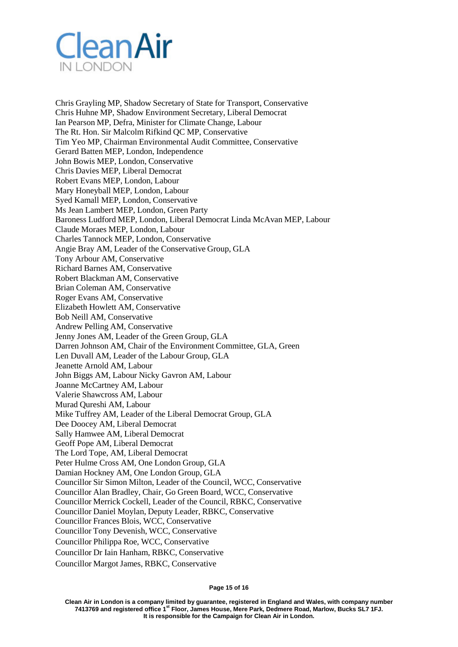

Chris Grayling MP, Shadow Secretary of State for Transport, Conservative Chris Huhne MP, Shadow Environment Secretary, Liberal Democrat Ian Pearson MP, Defra, Minister for Climate Change, Labour The Rt. Hon. Sir Malcolm Rifkind QC MP, Conservative Tim Yeo MP, Chairman Environmental Audit Committee, Conservative Gerard Batten MEP, London, Independence John Bowis MEP, London, Conservative Chris Davies MEP, Liberal Democrat Robert Evans MEP, London, Labour Mary Honeyball MEP, London, Labour Syed Kamall MEP, London, Conservative Ms Jean Lambert MEP, London, Green Party Baroness Ludford MEP, London, Liberal Democrat Linda McAvan MEP, Labour Claude Moraes MEP, London, Labour Charles Tannock MEP, London, Conservative Angie Bray AM, Leader of the Conservative Group, GLA Tony Arbour AM, Conservative Richard Barnes AM, Conservative Robert Blackman AM, Conservative Brian Coleman AM, Conservative Roger Evans AM, Conservative Elizabeth Howlett AM, Conservative Bob Neill AM, Conservative Andrew Pelling AM, Conservative Jenny Jones AM, Leader of the Green Group, GLA Darren Johnson AM, Chair of the Environment Committee, GLA, Green Len Duvall AM, Leader of the Labour Group, GLA Jeanette Arnold AM, Labour John Biggs AM, Labour Nicky Gavron AM, Labour Joanne McCartney AM, Labour Valerie Shawcross AM, Labour Murad Qureshi AM, Labour Mike Tuffrey AM, Leader of the Liberal Democrat Group, GLA Dee Doocey AM, Liberal Democrat Sally Hamwee AM, Liberal Democrat Geoff Pope AM, Liberal Democrat The Lord Tope, AM, Liberal Democrat Peter Hulme Cross AM, One London Group, GLA Damian Hockney AM, One London Group, GLA Councillor Sir Simon Milton, Leader of the Council, WCC, Conservative Councillor Alan Bradley, Chair, Go Green Board, WCC, Conservative Councillor Merrick Cockell, Leader of the Council, RBKC, Conservative Councillor Daniel Moylan, Deputy Leader, RBKC, Conservative Councillor Frances Blois, WCC, Conservative Councillor Tony Devenish, WCC, Conservative Councillor Philippa Roe, WCC, Conservative Councillor Dr Iain Hanham, RBKC, Conservative Councillor Margot James, RBKC, Conservative